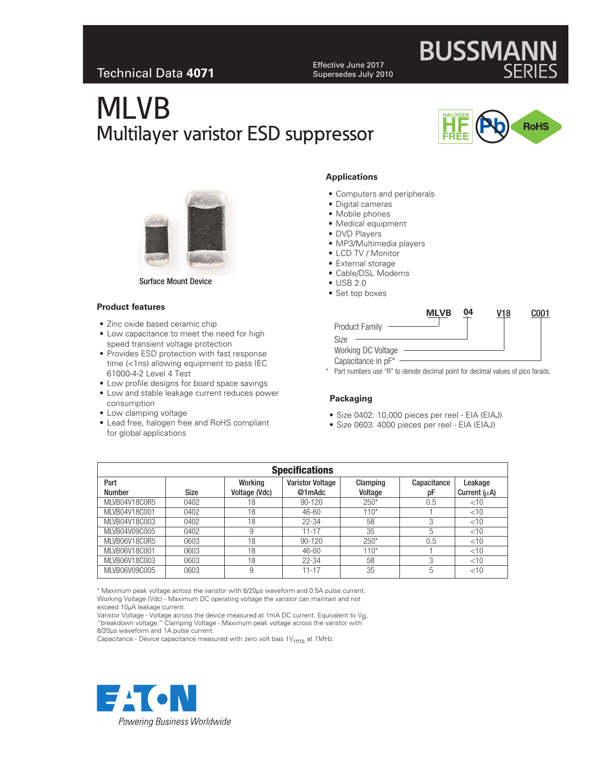### Technical Data **4071**

Effective June 2017 Supersedes July 2010

# MLVB Multilayer varistor ESD suppressor



**BUSSMANN** 



Surface Mount Device

#### **Product features**

- Zinc oxide based ceramic chip
- Low capacitance to meet the need for high speed transient voltage protection
- Provides ESD protection with fast response time (<1ns) allowing equipment to pass IEC 61000-4-2 Level 4 Test
- Low profile designs for board space savings
- Low and stable leakage current reduces power consumption
- Low clamping voltage
- Lead free, halogen free and RoHS compliant for global applications

#### **Applications**

- Computers and peripherals
- Digital cameras
- Mobile phones
- Medical equipment
- DVD Players
- MP3/Multimedia players
- LCD TV / Monitor
- External storage
- Cable/DSL Modems
- USB 2.0
- Set top boxes

|                       | <b>MLVB</b> | 04 |  |
|-----------------------|-------------|----|--|
| <b>Product Family</b> |             |    |  |
| Size                  |             |    |  |
| Working DC Voltage    |             |    |  |
| Capacitance in pF*    |             |    |  |

\* Part numbers use "R" to denote decimal point for decimal values of pico farads.

#### **Packaging**

- Size 0402: 10,000 pieces per reel EIA (EIAJ)
- Size 0603: 4000 pieces per reel EIA (EIAJ)

| <b>Specifications</b> |             |               |                         |          |             |                   |  |
|-----------------------|-------------|---------------|-------------------------|----------|-------------|-------------------|--|
| Part                  |             | Working       | <b>Varistor Voltage</b> | Clamping | Capacitance | Leakage           |  |
| <b>Number</b>         | <b>Size</b> | Voltage (Vdc) | @1mAdc                  | Voltage  | рF          | Current $(\mu A)$ |  |
| MLVB04V18C0R5         | 0402        | 18            | $90 - 120$              | $250*$   | 0.5         | $<$ 10            |  |
| MLVB04V18C001         | 0402        | 18            | 46-60                   | $110*$   |             | $<$ 10            |  |
| MLVB04V18C003         | 0402        | 18            | $22 - 34$               | 58       | 3           | $<$ 10            |  |
| MLVB04V09C005         | 0402        | 9             | $11 - 17$               | 35       | 5           | $<$ 10            |  |
| MLVB06V18C0R5         | 0603        | 18            | $90 - 120$              | $250*$   | 0.5         | $<$ 10            |  |
| MLVB06V18C001         | 0603        | 18            | 46-60                   | $110*$   |             | $<$ 10            |  |
| MLVB06V18C003         | 0603        | 18            | $22 - 34$               | 58       | 3           | $<$ 10            |  |
| MLVB06V09C005         | 0603        | 9             | 11-17                   | 35       | 5           | $<$ 10            |  |

\* Maximum peak voltage across the varistor with 8/20µs waveform and 0.5A pulse current. Working Voltage (Vdc) - Maximum DC operating voltage the varistor can maintain and not exceed 10µA leakage current.

Varistor Voltage - Voltage across the device measured at 1mA DC current. Equivalent to V<sub>B</sub>,<br>"breakdown voltage." Clamping Voltage - Maximum peak voltage across the varistor with 8/20µs waveform and 1A pulse current.

Capacitance - Device capacitance measured with zero volt bias  $1V_{\text{rms}}$  at 1MHz.

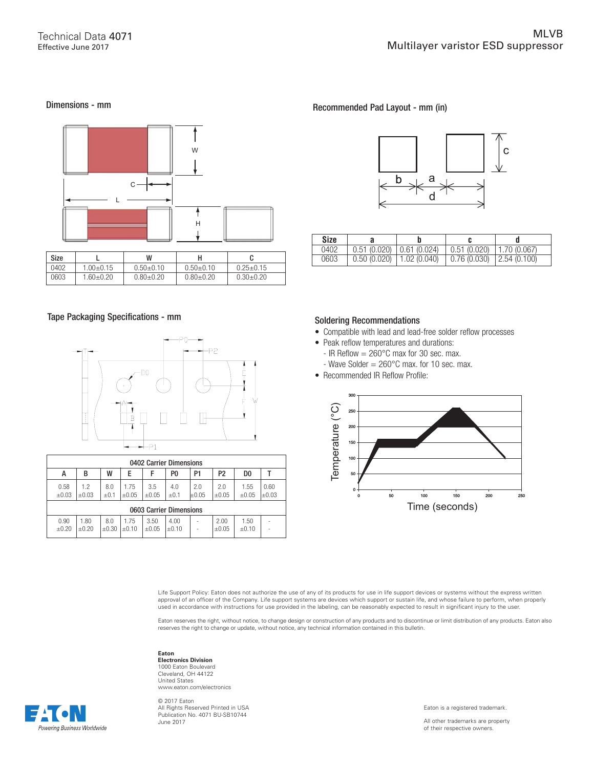#### Dimensions - mm



#### Tape Packaging Specifications - mm



| 0402 Carrier Dimensions |                    |                  |                    |                    |                    |                   |                   |                    |               |
|-------------------------|--------------------|------------------|--------------------|--------------------|--------------------|-------------------|-------------------|--------------------|---------------|
| А                       | В                  | W                | E                  | F                  | P0                 | P1                | P <sub>2</sub>    | D <sub>0</sub>     |               |
| 0.58<br>$\pm 0.03$      | 1.2<br>$\pm 0.03$  | 8.0<br>$\pm 0.1$ | 1.75<br>$\pm 0.05$ | 3.5<br>$\pm 0.05$  | 4.0<br>$\pm 0.1$   | 2.0<br>$\pm 0.05$ | 2.0<br>$\pm 0.05$ | 1.55<br>$\pm 0.05$ | 0.60<br>±0.03 |
| 0603 Carrier Dimensions |                    |                  |                    |                    |                    |                   |                   |                    |               |
| 0.90<br>$\pm 0.20$      | 1.80<br>$\pm 0.20$ | 8.0<br>$+0.30$   | 1.75<br>$+0.10$    | 3.50<br>$\pm 0.05$ | 4.00<br>$\pm 0.10$ |                   | 2.00<br>$+0.05$   | 1.50<br>$+0.10$    |               |

#### Recommended Pad Layout - mm (in)



| Size |                              |                                |  |
|------|------------------------------|--------------------------------|--|
| 0402 | $0.51(0.020)$ $0.61(0.024)$  | $0.51(0.020)$   1.70 $(0.067)$ |  |
| 0603 | $0.50(0.020)$   1.02 (0.040) | $0.76(0.030)$   2.54 (0.100)   |  |

#### Soldering Recommendations

- Compatible with lead and lead-free solder reflow processes
- Peak reflow temperatures and durations:
	- IR Reflow  $= 260^{\circ}$ C max for 30 sec. max.
- Wave Solder  $= 260^{\circ}$ C max. for 10 sec. max.
- Recommended IR Reflow Profile:



Life Support Policy: Eaton does not authorize the use of any of its products for use in life support devices or systems without the express written approval of an officer of the Company. Life support systems are devices which support or sustain life, and whose failure to perform, when properly<br>used in accordance with instructions for use provided in the labeling, can

Eaton reserves the right, without notice, to change design or construction of any products and to discontinue or limit distribution of any products. Eaton also reserves the right to change or update, without notice, any technical information contained in this bulletin.

#### **Eaton Electronics Division** 1000 Eaton Boulevard Cleveland, OH 44122 United States www.eaton.com/electronics

© 2017 Eaton All Rights Reserved Printed in USA Publication No. 4071 BU-SB10744 June 2017

Powerina Business Worldwide



All other trademarks are property of their respective owners.